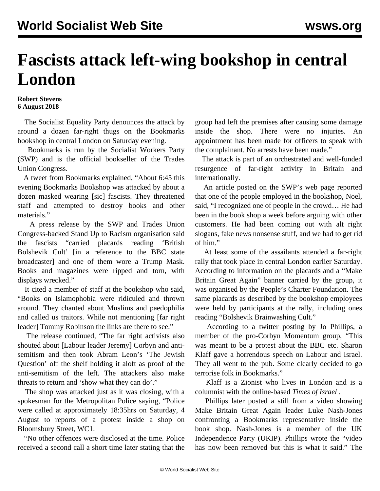## **Fascists attack left-wing bookshop in central London**

## **Robert Stevens 6 August 2018**

 The Socialist Equality Party denounces the attack by around a dozen far-right thugs on the Bookmarks bookshop in central London on Saturday evening.

 Bookmarks is run by the Socialist Workers Party (SWP) and is the official bookseller of the Trades Union Congress.

 A tweet from Bookmarks explained, "About 6:45 this evening Bookmarks Bookshop was attacked by about a dozen masked wearing [sic] fascists. They threatened staff and attempted to destroy books and other materials."

 A press release by the SWP and Trades Union Congress-backed Stand Up to Racism organisation said the fascists "carried placards reading 'British Bolshevik Cult' [in a reference to the BBC state broadcaster] and one of them wore a Trump Mask. Books and magazines were ripped and torn, with displays wrecked."

 It cited a member of staff at the bookshop who said, "Books on Islamophobia were ridiculed and thrown around. They chanted about Muslims and paedophilia and called us traitors. While not mentioning [far right leader] Tommy Robinson the links are there to see."

 The release continued, "The far right activists also shouted about [Labour leader Jeremy] Corbyn and antisemitism and then took Abram Leon's 'The Jewish Question' off the shelf holding it aloft as proof of the anti-semitism of the left. The attackers also make threats to return and 'show what they can do'."

 The shop was attacked just as it was closing, with a spokesman for the Metropolitan Police saying, "Police were called at approximately 18:35hrs on Saturday, 4 August to reports of a protest inside a shop on Bloomsbury Street, WC1.

 "No other offences were disclosed at the time. Police received a second call a short time later stating that the group had left the premises after causing some damage inside the shop. There were no injuries. An appointment has been made for officers to speak with the complainant. No arrests have been made."

 The attack is part of an orchestrated and well-funded resurgence of far-right activity in Britain and internationally.

 An article posted on the SWP's web page reported that one of the people employed in the bookshop, Noel, said, "I recognized one of people in the crowd… He had been in the book shop a week before arguing with other customers. He had been coming out with alt right slogans, fake news nonsense stuff, and we had to get rid of him."

 At least some of the assailants attended a far-right rally that took place in central London earlier Saturday. According to information on the placards and a "Make Britain Great Again" banner carried by the group, it was organised by the People's Charter Foundation. The same placards as described by the bookshop employees were held by participants at the rally, including ones reading "Bolshevik Brainwashing Cult."

 According to a twitter posting by Jo Phillips, a member of the pro-Corbyn Momentum group, "This was meant to be a protest about the BBC etc. Sharon Klaff gave a horrendous speech on Labour and Israel. They all went to the pub. Some clearly decided to go terrorise folk in Bookmarks."

 Klaff is a Zionist who lives in London and is a columnist with the online-based *Times of Israel* .

 Phillips later posted a still from a video showing Make Britain Great Again leader Luke Nash-Jones confronting a Bookmarks representative inside the book shop. Nash-Jones is a member of the UK Independence Party (UKIP). Phillips wrote the "video has now been removed but this is what it said." The